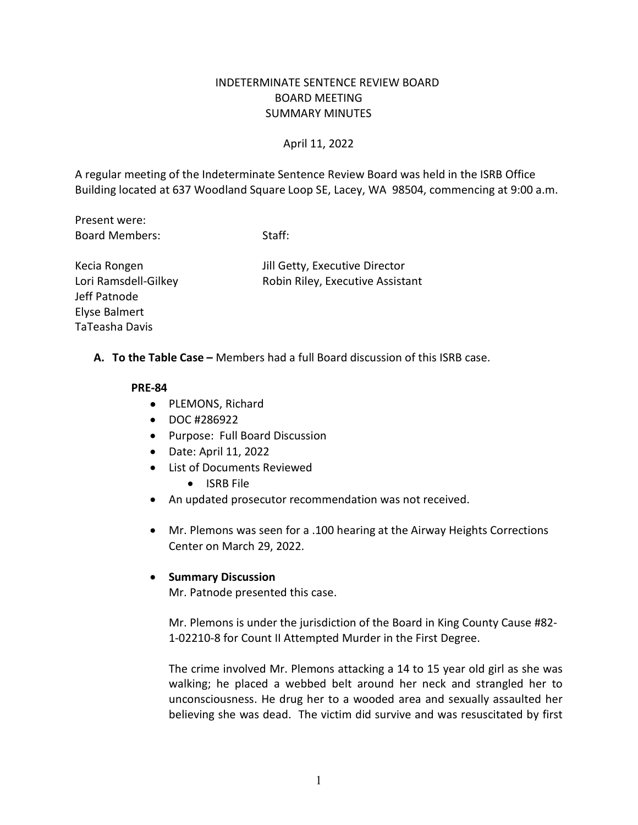## INDETERMINATE SENTENCE REVIEW BOARD BOARD MEETING SUMMARY MINUTES

### April 11, 2022

 Building located at 637 Woodland Square Loop SE, Lacey, WA 98504, commencing at 9:00 a.m. A regular meeting of the Indeterminate Sentence Review Board was held in the ISRB Office

Present were: Present were: Search Weres (Staff: Staff: Staff: Staff: Staff: Staff: Staff: Staff: Staff: Staff: Staff: Staff: Staff: Staff: Staff: Staff: Staff: Staff: Staff: Staff: Staff: Staff: Staff: Staff: Staff: Staff: Staff: Staff

Kecia Rongen Jeff Patnode Elyse Balmert TaTeasha Davis

Jill Getty, Executive Director Lori Ramsdell-Gilkey Robin Riley, Executive Assistant

**A. To the Table Case –** Members had a full Board discussion of this ISRB case.

#### **PRE-84**

- PLEMONS, Richard
- DOC #286922
- Purpose: Full Board Discussion
- Date: April 11, 2022
- List of Documents Reviewed
	- ISRB File
- An updated prosecutor recommendation was not received.
- • Mr. Plemons was seen for a .100 hearing at the Airway Heights Corrections Center on March 29, 2022.

#### • **Summary Discussion**

Mr. Patnode presented this case.

Mr. Plemons is under the jurisdiction of the Board in King County Cause #82- 1-02210-8 for Count II Attempted Murder in the First Degree.

 The crime involved Mr. Plemons attacking a 14 to 15 year old girl as she was walking; he placed a webbed belt around her neck and strangled her to believing she was dead. The victim did survive and was resuscitated by first unconsciousness. He drug her to a wooded area and sexually assaulted her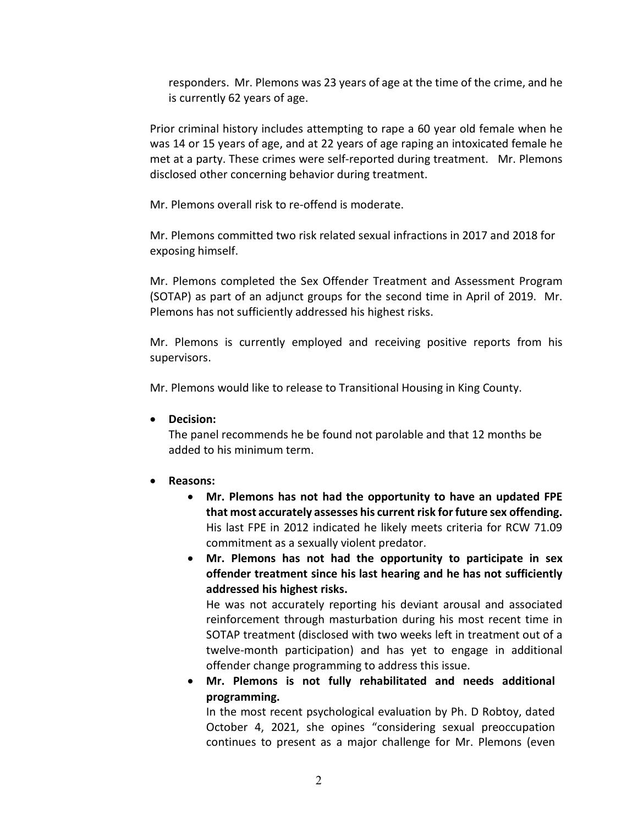responders. Mr. Plemons was 23 years of age at the time of the crime, and he is currently 62 years of age.

 Prior criminal history includes attempting to rape a 60 year old female when he was 14 or 15 years of age, and at 22 years of age raping an intoxicated female he met at a party. These crimes were self-reported during treatment. Mr. Plemons disclosed other concerning behavior during treatment.

Mr. Plemons overall risk to re-offend is moderate.

 Mr. Plemons committed two risk related sexual infractions in 2017 and 2018 for exposing himself.

 (SOTAP) as part of an adjunct groups for the second time in April of 2019. Mr. Mr. Plemons completed the Sex Offender Treatment and Assessment Program Plemons has not sufficiently addressed his highest risks.

 Mr. Plemons is currently employed and receiving positive reports from his supervisors.

Mr. Plemons would like to release to Transitional Housing in King County.

• **Decision:** 

 added to his minimum term. The panel recommends he be found not parolable and that 12 months be

- **Reasons:** 
	- **that most accurately assesses his current risk for future sex offending.**  commitment as a sexually violent predator. • **Mr. Plemons has not had the opportunity to have an updated FPE**  His last FPE in 2012 indicated he likely meets criteria for RCW 71.09
	- **Mr. Plemons has not had the opportunity to participate in sex offender treatment since his last hearing and he has not sufficiently addressed his highest risks.**

 He was not accurately reporting his deviant arousal and associated twelve-month participation) and has yet to engage in additional offender change programming to address this issue. reinforcement through masturbation during his most recent time in SOTAP treatment (disclosed with two weeks left in treatment out of a

• **Mr. Plemons is not fully rehabilitated and needs additional programming.** 

 In the most recent psychological evaluation by Ph. D Robtoy, dated October 4, 2021, she opines "considering sexual preoccupation continues to present as a major challenge for Mr. Plemons (even